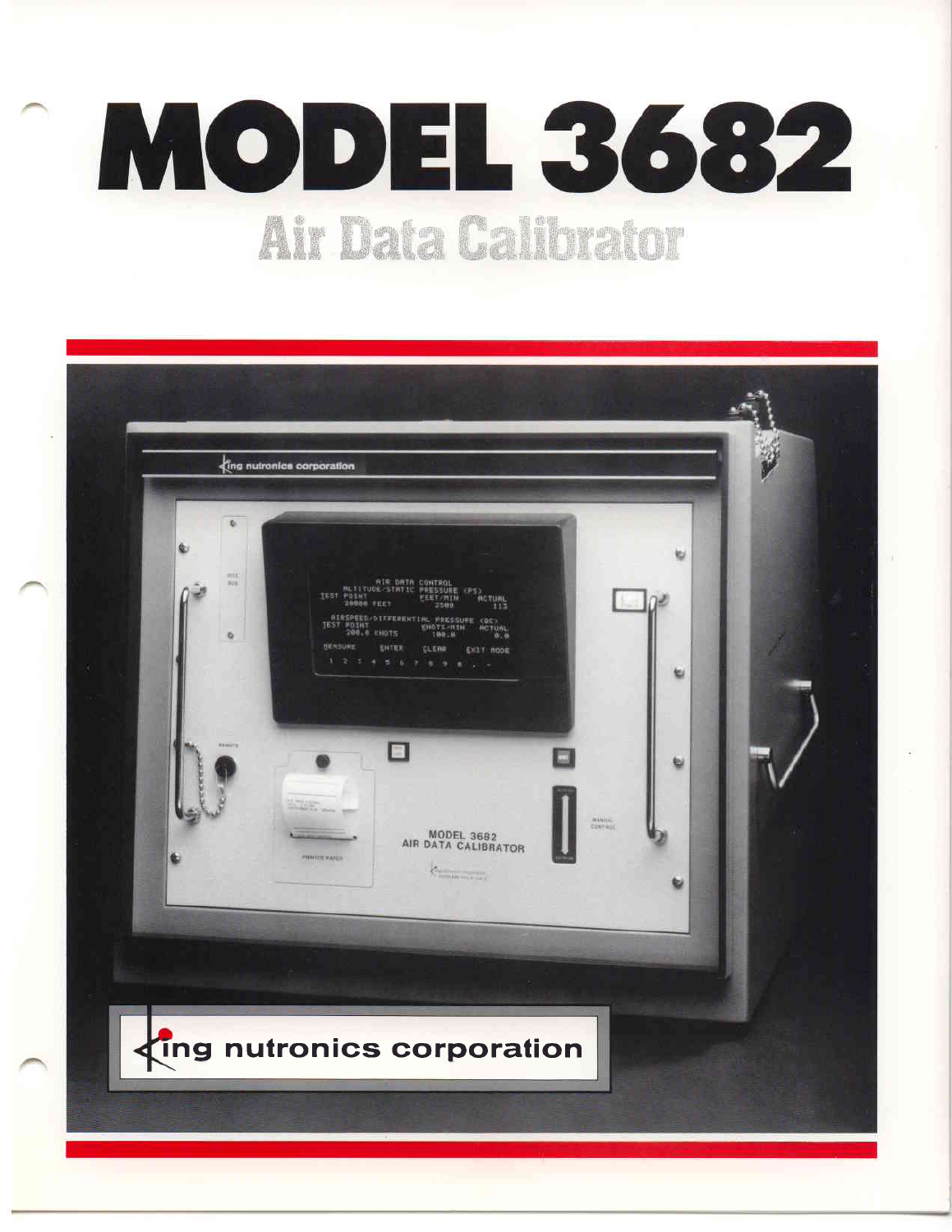# MODEL 3682 Air Data Calibrator

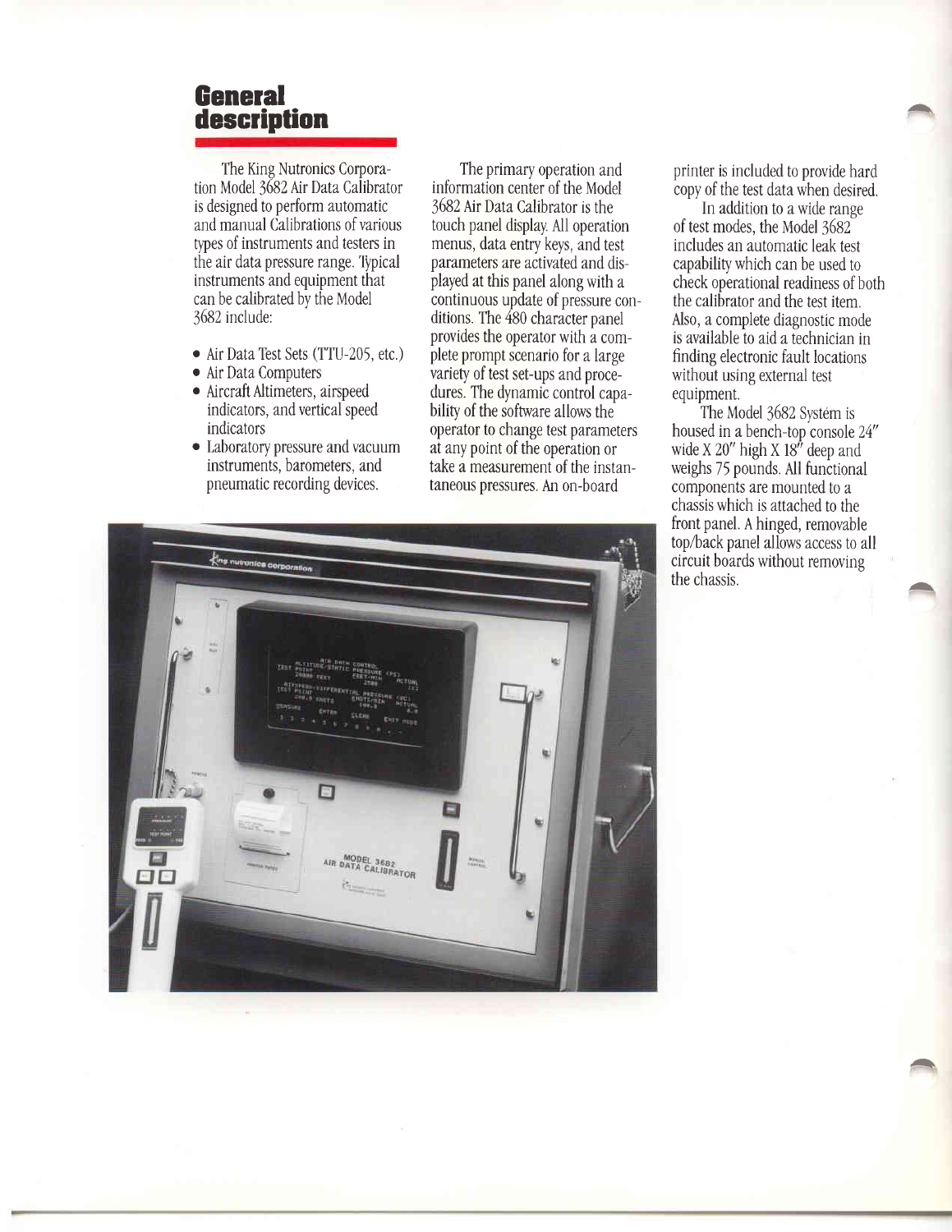#### **General** description

The King Nutronics Corporation Model 3682 Air Data Calibrator is designed to perform automatic and manual Calibrations of various types of instruments and testers in the air data pressure range. Typical instruments and equipment that can be calibrated by the Model 3682 include:

- Air Data Test Sets (TTU-205, etc.)
- o Air Data Comnuters
- o Aircraft Altimeters, airspeed indicators, and vertical speed indicators
- o Laboratory pressure and vacuum instruments, barometers, and pneumatic recording devices.

The primary operation and information center of the Model 3682 NrDataCallbrator is the touch panel display. All operation menus, data entry keys, and test parameters are activated and displayed at this panel along with a continuous update of pressure conditions. The 480 character panel provides the operator with a complete prompt scenario for a large variety of test set-ups and procedures. The dynamic control capability of the software allows the operator to change test parameters at any point of the operation or take a measurement of the instantaneous pressures. An on-board

printer is included to provide hard copy of the test data when desired. ,a

/-\

.a

In addition to a wide range of test modes, the Model 3682 includes an automatic leak test capability which can be used to check operational readiness of both the calibrator and the test item. Also, a complete diagnostic mode is available to aid a technician i finding electronic fault locations without using external test equipment.

The Model 3682 System is housed in a bench-top console 24" wide X 20" high X 18" deep and weighs 75 pounds. All functional components are mounted to a chassis which is attached to the front panel. A hinged, removable top/back panel allows access to all circuit boards without removing the chassis.

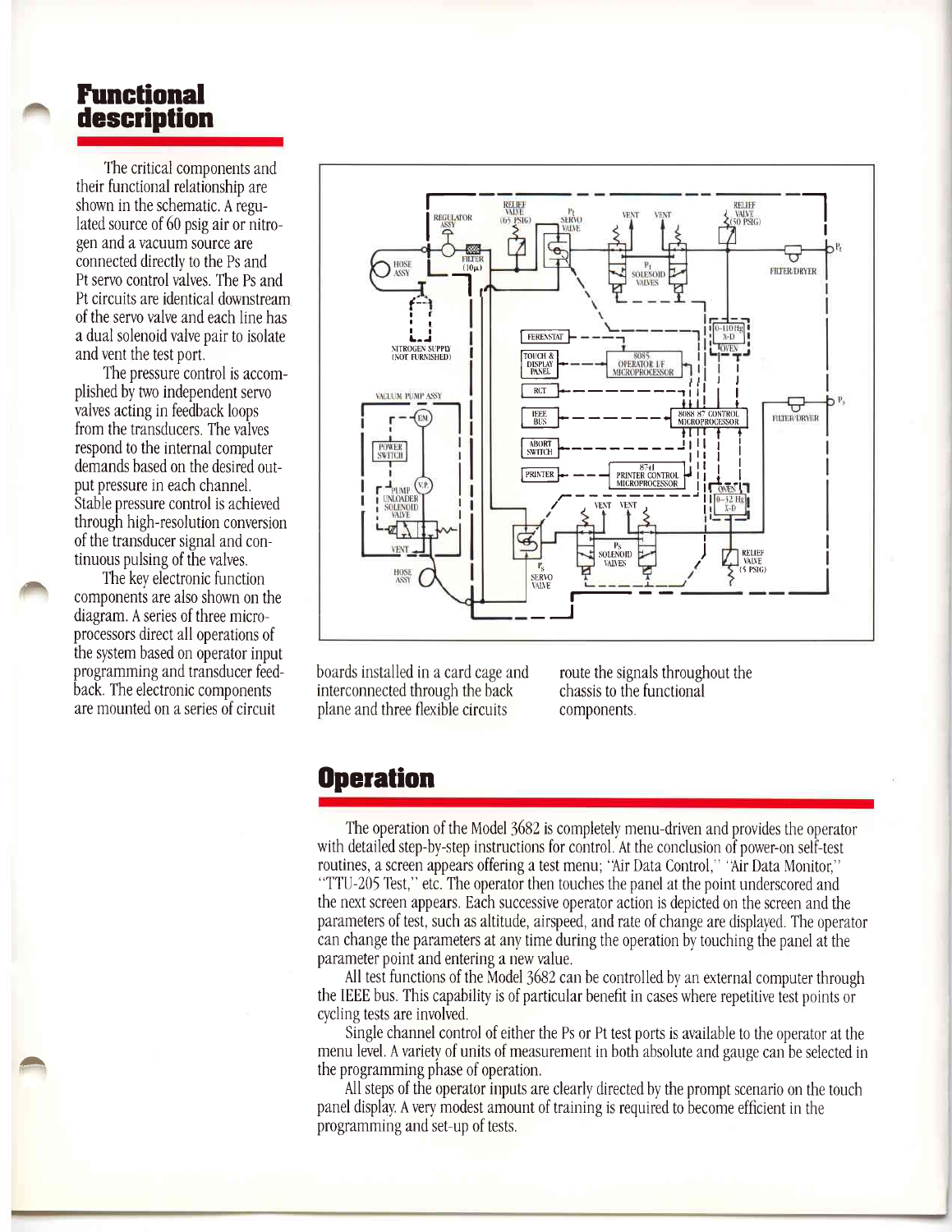## Functional description

The critical components and their functional relationshio are shown in the schematic. A regulated source of 60 psig air or nitrogen and a vacuum source are connected directly to the Ps and Pt servo control valves. The Ps and Pt circuits are identical downstream of the servo valve and each line has a dual solenoid valve oair to isolate and vent the test port.

The pressure control is accomplished by two independent servo valves acting in feedback loops from the transducers. The valves respond to the internal computer demands based on the desired output pressure in each channel. Stable pressure control is achieved through high-resolution conversion of the transducer signal and continuous pulsing of the valves.

The key electronic function components are also shown on the diagram. A series of three micropr0cess0rs direct all operations of the system based on operator input programming and transducer fedback. The electronic components are mounted on a series of circuit

 $\overline{\phantom{a}}$ 



boards installed in a card cage and interconnected through the back olane and three flexible circuits

route the signals throughout the chassis to the functional components.

### **Operation**

The operation of the Model 3682 is completely menu-driven and provides the operator with detailed step-by-step instructions for control. At the conclusion of power-on self-test routines, a screen appears offering a test menu; 'Air Data Control," 'Air Data Monitor," "TTU-205 Test," etc. The operator then touches the panel at the point underscored and the next screen appears. Each successive operator action is depicted on the screen and the parameters of test, such as altitude, airspeed, and rate of change are displayed. The operator can change the parameters at any time during the operation bv touching the panel at the parameter point and entering a new value.

All test functions of the Model 3682 can be controlled by an external computer through the IEEE bus. This capabiliry is of particular benefit in cases where repetitive test points 0r cycling tests are involved

Single channel control of either the Ps or Pt test ports is available to the operator at the menu level. A variety of units of measurement in both absolute and gauge can be selected in the programming phase of operation.

All steps of the operator inputs are clearly directed by the prompt scenario on the touch panel display. A very modest amount of training is required tobecome efficient inthe programming and set-up of tests.